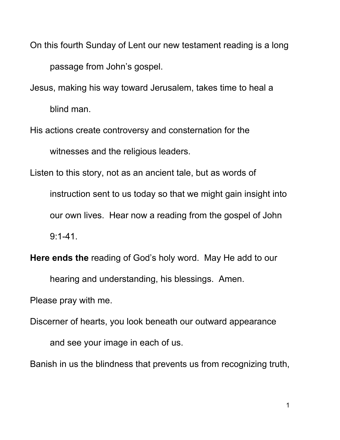On this fourth Sunday of Lent our new testament reading is a long passage from John's gospel.

Jesus, making his way toward Jerusalem, takes time to heal a

blind man.

His actions create controversy and consternation for the witnesses and the religious leaders.

Listen to this story, not as an ancient tale, but as words of

instruction sent to us today so that we might gain insight into our own lives. Hear now a reading from the gospel of John 9:1-41.

**Here ends the** reading of God's holy word. May He add to our

hearing and understanding, his blessings. Amen.

Please pray with me.

Discerner of hearts, you look beneath our outward appearance

and see your image in each of us.

Banish in us the blindness that prevents us from recognizing truth,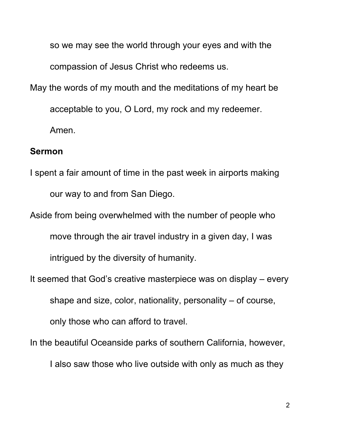so we may see the world through your eyes and with the compassion of Jesus Christ who redeems us. May the words of my mouth and the meditations of my heart be acceptable to you, O Lord, my rock and my redeemer.

Amen.

## **Sermon**

I spent a fair amount of time in the past week in airports making our way to and from San Diego.

Aside from being overwhelmed with the number of people who move through the air travel industry in a given day, I was intrigued by the diversity of humanity.

It seemed that God's creative masterpiece was on display – every shape and size, color, nationality, personality – of course, only those who can afford to travel.

In the beautiful Oceanside parks of southern California, however,

I also saw those who live outside with only as much as they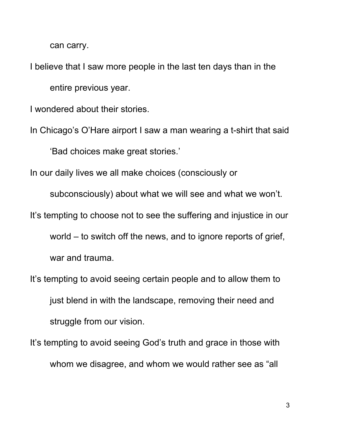can carry.

I believe that I saw more people in the last ten days than in the entire previous year.

I wondered about their stories.

In Chicago's O'Hare airport I saw a man wearing a t-shirt that said 'Bad choices make great stories.'

In our daily lives we all make choices (consciously or

subconsciously) about what we will see and what we won't.

It's tempting to choose not to see the suffering and injustice in our

world – to switch off the news, and to ignore reports of grief, war and trauma.

It's tempting to avoid seeing certain people and to allow them to just blend in with the landscape, removing their need and struggle from our vision.

It's tempting to avoid seeing God's truth and grace in those with whom we disagree, and whom we would rather see as "all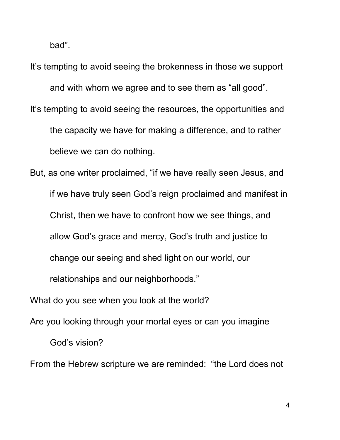bad".

It's tempting to avoid seeing the brokenness in those we support and with whom we agree and to see them as "all good". It's tempting to avoid seeing the resources, the opportunities and the capacity we have for making a difference, and to rather believe we can do nothing.

But, as one writer proclaimed, "if we have really seen Jesus, and if we have truly seen God's reign proclaimed and manifest in Christ, then we have to confront how we see things, and allow God's grace and mercy, God's truth and justice to change our seeing and shed light on our world, our relationships and our neighborhoods."

What do you see when you look at the world?

Are you looking through your mortal eyes or can you imagine

God's vision?

From the Hebrew scripture we are reminded: "the Lord does not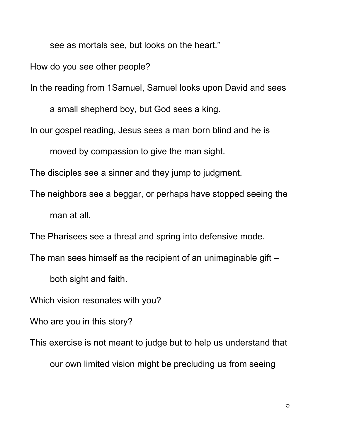see as mortals see, but looks on the heart."

How do you see other people?

In the reading from 1Samuel, Samuel looks upon David and sees

a small shepherd boy, but God sees a king.

In our gospel reading, Jesus sees a man born blind and he is

moved by compassion to give the man sight.

The disciples see a sinner and they jump to judgment.

The neighbors see a beggar, or perhaps have stopped seeing the man at all.

The Pharisees see a threat and spring into defensive mode.

The man sees himself as the recipient of an unimaginable gift –

both sight and faith.

Which vision resonates with you?

Who are you in this story?

This exercise is not meant to judge but to help us understand that

our own limited vision might be precluding us from seeing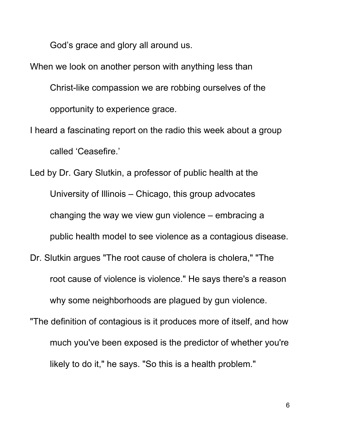God's grace and glory all around us.

When we look on another person with anything less than Christ-like compassion we are robbing ourselves of the opportunity to experience grace.

I heard a fascinating report on the radio this week about a group called 'Ceasefire.'

Led by Dr. Gary Slutkin, a professor of public health at the University of Illinois – Chicago, this group advocates changing the way we view gun violence – embracing a public health model to see violence as a contagious disease.

- Dr. Slutkin argues "The root cause of cholera is cholera," "The root cause of violence is violence." He says there's a reason why some neighborhoods are plagued by gun violence.
- "The definition of contagious is it produces more of itself, and how much you've been exposed is the predictor of whether you're likely to do it," he says. "So this is a health problem."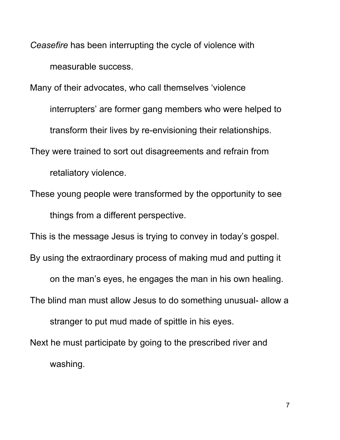*Ceasefire* has been interrupting the cycle of violence with measurable success.

Many of their advocates, who call themselves 'violence

interrupters' are former gang members who were helped to

transform their lives by re-envisioning their relationships.

They were trained to sort out disagreements and refrain from

retaliatory violence.

These young people were transformed by the opportunity to see things from a different perspective.

This is the message Jesus is trying to convey in today's gospel.

By using the extraordinary process of making mud and putting it

on the man's eyes, he engages the man in his own healing.

The blind man must allow Jesus to do something unusual- allow a

stranger to put mud made of spittle in his eyes.

Next he must participate by going to the prescribed river and washing.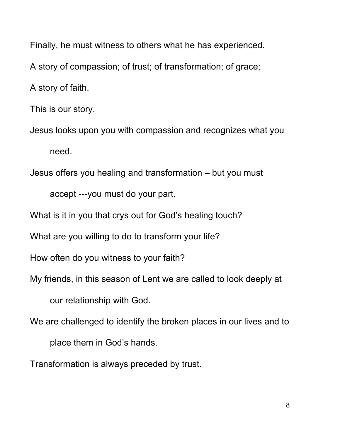Finally, he must witness to others what he has experienced. A story of compassion; of trust; of transformation; of grace; A story of faith.

This is our story.

Jesus looks upon you with compassion and recognizes what you need.

Jesus offers you healing and transformation – but you must

accept ---you must do your part.

What is it in you that crys out for God's healing touch?

What are you willing to do to transform your life?

How often do you witness to your faith?

My friends, in this season of Lent we are called to look deeply at

our relationship with God.

We are challenged to identify the broken places in our lives and to

place them in God's hands.

Transformation is always preceded by trust.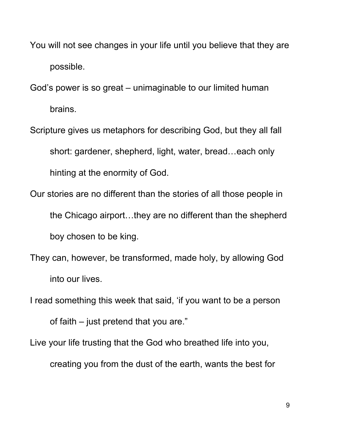You will not see changes in your life until you believe that they are possible.

God's power is so great – unimaginable to our limited human brains.

- Scripture gives us metaphors for describing God, but they all fall short: gardener, shepherd, light, water, bread…each only hinting at the enormity of God.
- Our stories are no different than the stories of all those people in the Chicago airport…they are no different than the shepherd boy chosen to be king.
- They can, however, be transformed, made holy, by allowing God into our lives.

I read something this week that said, 'if you want to be a person of faith – just pretend that you are."

Live your life trusting that the God who breathed life into you, creating you from the dust of the earth, wants the best for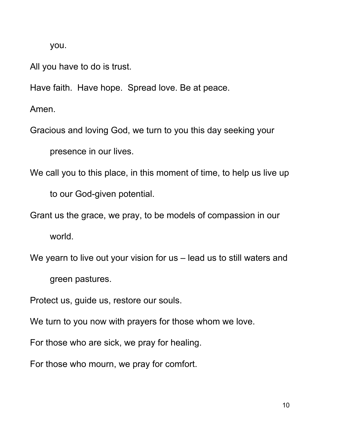you.

All you have to do is trust.

Have faith. Have hope. Spread love. Be at peace.

Amen.

Gracious and loving God, we turn to you this day seeking your

presence in our lives.

We call you to this place, in this moment of time, to help us live up

to our God-given potential.

Grant us the grace, we pray, to be models of compassion in our

world.

We yearn to live out your vision for us – lead us to still waters and

green pastures.

Protect us, guide us, restore our souls.

We turn to you now with prayers for those whom we love.

For those who are sick, we pray for healing.

For those who mourn, we pray for comfort.